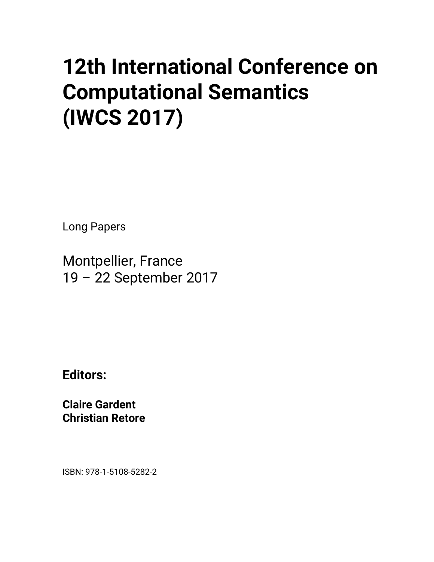## **12th International Conference on Computational Semantics (IWCS 2017)**

Long Papers

Montpellier, France 19 – 22 September 2017

**Editors:** 

**Claire Gardent Christian Retore** 

ISBN: 978-1-5108-5282-2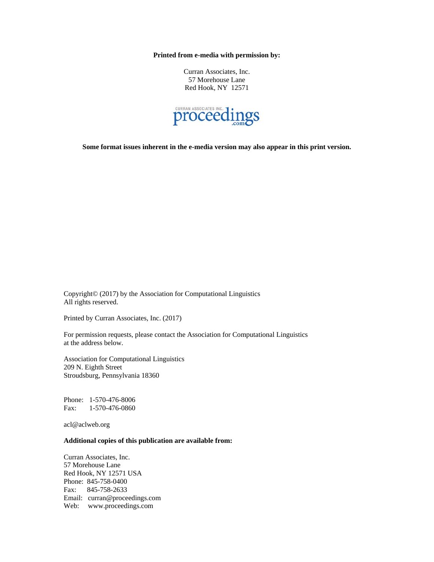**Printed from e-media with permission by:** 

Curran Associates, Inc. 57 Morehouse Lane Red Hook, NY 12571



**Some format issues inherent in the e-media version may also appear in this print version.** 

Copyright© (2017) by the Association for Computational Linguistics All rights reserved.

Printed by Curran Associates, Inc. (2017)

For permission requests, please contact the Association for Computational Linguistics at the address below.

Association for Computational Linguistics 209 N. Eighth Street Stroudsburg, Pennsylvania 18360

Phone: 1-570-476-8006 Fax: 1-570-476-0860

acl@aclweb.org

## **Additional copies of this publication are available from:**

Curran Associates, Inc. 57 Morehouse Lane Red Hook, NY 12571 USA Phone: 845-758-0400 Fax: 845-758-2633 Email: curran@proceedings.com Web: www.proceedings.com